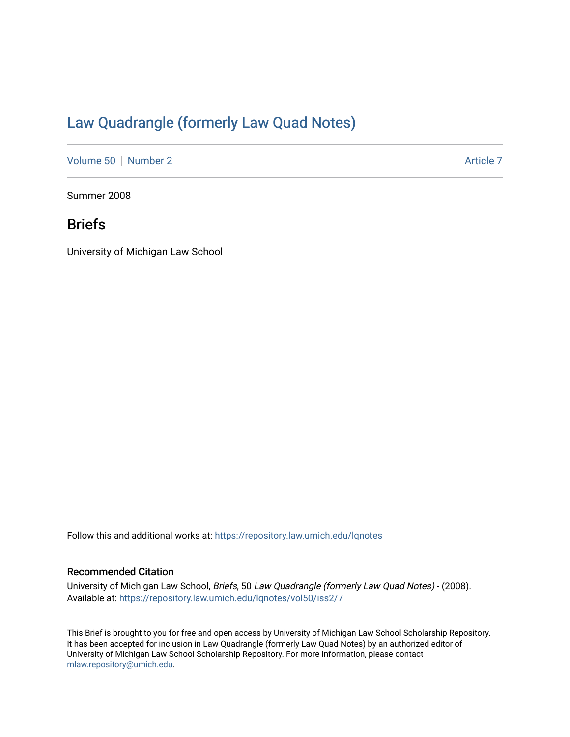# [Law Quadrangle \(formerly Law Quad Notes\)](https://repository.law.umich.edu/lqnotes)

[Volume 50](https://repository.law.umich.edu/lqnotes/vol50) [Number 2](https://repository.law.umich.edu/lqnotes/vol50/iss2) Article 7

Summer 2008

# Briefs

University of Michigan Law School

Follow this and additional works at: [https://repository.law.umich.edu/lqnotes](https://repository.law.umich.edu/lqnotes?utm_source=repository.law.umich.edu%2Flqnotes%2Fvol50%2Fiss2%2F7&utm_medium=PDF&utm_campaign=PDFCoverPages) 

#### Recommended Citation

University of Michigan Law School, Briefs, 50 Law Quadrangle (formerly Law Quad Notes) - (2008). Available at: [https://repository.law.umich.edu/lqnotes/vol50/iss2/7](https://repository.law.umich.edu/lqnotes/vol50/iss2/7?utm_source=repository.law.umich.edu%2Flqnotes%2Fvol50%2Fiss2%2F7&utm_medium=PDF&utm_campaign=PDFCoverPages) 

This Brief is brought to you for free and open access by University of Michigan Law School Scholarship Repository. It has been accepted for inclusion in Law Quadrangle (formerly Law Quad Notes) by an authorized editor of University of Michigan Law School Scholarship Repository. For more information, please contact [mlaw.repository@umich.edu.](mailto:mlaw.repository@umich.edu)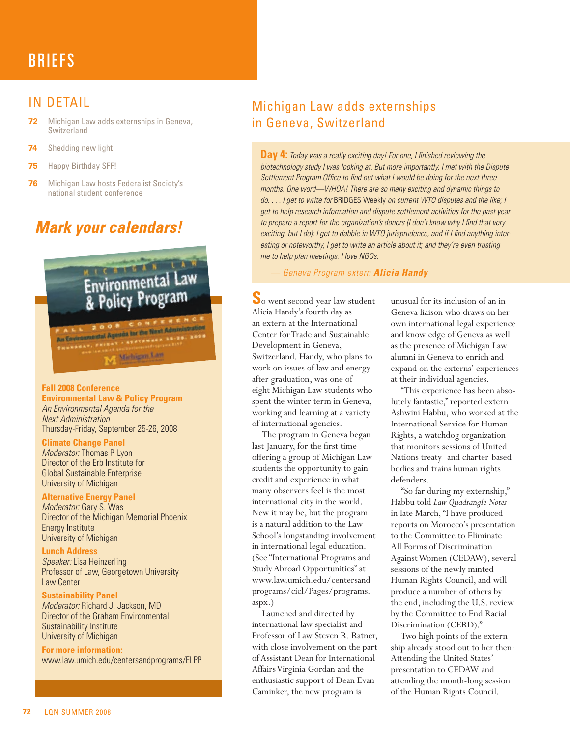# **BRIEFS**

## IN DETAIL

- **72** Michigan Law adds externships in Geneva, Switzerland
- **74** Shedding new light
- **75** Happy Birthday SFF!
- **76** Michigan Law hosts Federalist Society's national student conference

# *Mark your calendars!*



#### **Fall 2008 Conference**

**Environmental Law & Policy Program** *An Environmental Agenda for the Next Administration* Thursday-Friday, September 25-26, 2008

#### **Climate Change Panel**

*Moderator:* Thomas P. Lyon Director of the Erb Institute for Global Sustainable Enterprise University of Michigan

#### **Alternative Energy Panel**

*Moderator:* Gary S. Was Director of the Michigan Memorial Phoenix Energy Institute University of Michigan

**Lunch Address** *Speaker:* Lisa Heinzerling Professor of Law, Georgetown University Law Center

#### **Sustainability Panel**

*Moderator:* Richard J. Jackson, MD Director of the Graham Environmental Sustainability Institute University of Michigan

**For more information:** www.law.umich.edu/centersandprograms/ELPP

# Michigan Law adds externships in Geneva, Switzerland

**Day 4:** *Today was a really exciting day! For one, I finished reviewing the biotechnology study I was looking at. But more importantly, I met with the Dispute Settlement Program Office to find out what I would be doing for the next three months. One word—WHOA! There are so many exciting and dynamic things to do. . . . I get to write for* BRIDGES Weekly *on current WTO disputes and the like; I get to help research information and dispute settlement activities for the past year to prepare a report for the organization's donors (I don't know why I find that very exciting, but I do); I get to dabble in WTO jurisprudence, and if I find anything interesting or noteworthy, I get to write an article about it; and they're even trusting me to help plan meetings. I love NGOs.*

*— Geneva Program extern Alicia Handy*

**S**o went second-year law student Alicia Handy's fourth day as an extern at the International Center for Trade and Sustainable Development in Geneva, Switzerland. Handy, who plans to work on issues of law and energy after graduation, was one of eight Michigan Law students who spent the winter term in Geneva, working and learning at a variety of international agencies.

The program in Geneva began last January, for the first time offering a group of Michigan Law students the opportunity to gain credit and experience in what many observers feel is the most international city in the world. New it may be, but the program is a natural addition to the Law School's longstanding involvement in international legal education. (See "International Programs and Study Abroad Opportunities" at www.law.umich.edu/centersandprograms/cicl/Pages/programs. aspx.)

Launched and directed by international law specialist and Professor of Law Steven R. Ratner, with close involvement on the part of Assistant Dean for International Affairs Virginia Gordan and the enthusiastic support of Dean Evan Caminker, the new program is

unusual for its inclusion of an in-Geneva liaison who draws on her own international legal experience and knowledge of Geneva as well as the presence of Michigan Law alumni in Geneva to enrich and expand on the externs' experiences at their individual agencies.

"This experience has been absolutely fantastic," reported extern Ashwini Habbu, who worked at the International Service for Human Rights, a watchdog organization that monitors sessions of United Nations treaty- and charter-based bodies and trains human rights defenders.

"So far during my externship," Habbu told *Law Quadrangle Notes* in late March, "I have produced reports on Morocco's presentation to the Committee to Eliminate All Forms of Discrimination Against Women (CEDAW), several sessions of the newly minted Human Rights Council, and will produce a number of others by the end, including the U.S. review by the Committee to End Racial Discrimination (CERD)."

Two high points of the externship already stood out to her then: Attending the United States' presentation to CEDAW and attending the month-long session of the Human Rights Council.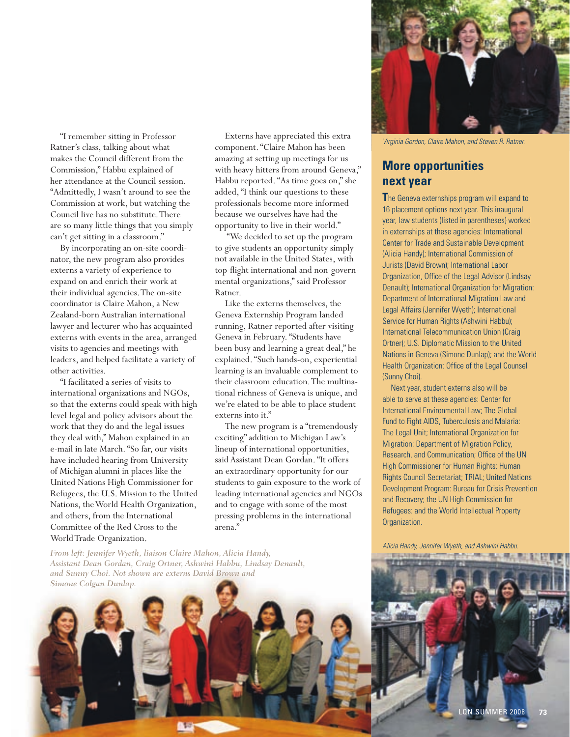"I remember sitting in Professor Ratner's class, talking about what makes the Council different from the Commission," Habbu explained of her attendance at the Council session. "Admittedly, I wasn't around to see the Commission at work, but watching the Council live has no substitute. There are so many little things that you simply can't get sitting in a classroom."

By incorporating an on-site coordinator, the new program also provides externs a variety of experience to expand on and enrich their work at their individual agencies. The on-site coordinator is Claire Mahon, a New Zealand-born Australian international lawyer and lecturer who has acquainted externs with events in the area, arranged visits to agencies and meetings with leaders, and helped facilitate a variety of other activities.

"I facilitated a series of visits to international organizations and NGOs, so that the externs could speak with high level legal and policy advisors about the work that they do and the legal issues they deal with," Mahon explained in an e-mail in late March. "So far, our visits have included hearing from University of Michigan alumni in places like the United Nations High Commissioner for Refugees, the U.S. Mission to the United Nations, the World Health Organization, and others, from the International Committee of the Red Cross to the World Trade Organization.

Externs have appreciated this extra component. "Claire Mahon has been amazing at setting up meetings for us with heavy hitters from around Geneva," Habbu reported. "As time goes on," she added, "I think our questions to these professionals become more informed because we ourselves have had the opportunity to live in their world."

 "We decided to set up the program to give students an opportunity simply not available in the United States, with top-flight international and non-governmental organizations," said Professor Ratner.

Like the externs themselves, the Geneva Externship Program landed running, Ratner reported after visiting Geneva in February. "Students have been busy and learning a great deal," he explained. "Such hands-on, experiential learning is an invaluable complement to their classroom education. The multinational richness of Geneva is unique, and we're elated to be able to place student externs into it."

The new program is a "tremendously exciting" addition to Michigan Law's lineup of international opportunities, said Assistant Dean Gordan. "It offers an extraordinary opportunity for our students to gain exposure to the work of leading international agencies and NGOs and to engage with some of the most pressing problems in the international arena."



*Virginia Gordon, Claire Mahon, and Steven R. Ratner.*

### **More opportunities next year**

**T**he Geneva externships program will expand to 16 placement options next year. This inaugural year, law students (listed in parentheses) worked in externships at these agencies: International Center for Trade and Sustainable Development (Alicia Handy); International Commission of Jurists (David Brown); International Labor Organization, Office of the Legal Advisor (Lindsay Denault); International Organization for Migration: Department of International Migration Law and Legal Affairs (Jennifer Wyeth); International Service for Human Rights (Ashwini Habbu); International Telecommunication Union (Craig Ortner); U.S. Diplomatic Mission to the United Nations in Geneva (Simone Dunlap); and the World Health Organization: Office of the Legal Counsel (Sunny Choi).

Next year, student externs also will be able to serve at these agencies: Center for International Environmental Law; The Global Fund to Fight AIDS, Tuberculosis and Malaria: The Legal Unit; International Organization for Migration: Department of Migration Policy, Research, and Communication; Office of the UN High Commissioner for Human Rights: Human Rights Council Secretariat; TRIAL; United Nations Development Program: Bureau for Crisis Prevention and Recovery; the UN High Commission for Refugees: and the World Intellectual Property Organization.

*Alicia Handy, Jennifer Wyeth, and Ashwini Habbu.*

*From left: Jennifer Wyeth, liaison Claire Mahon, Alicia Handy, Assistant Dean Gordan, Craig Ortner, Ashwini Habbu, Lindsay Denault, and Sunny Choi. Not shown are externs David Brown and* 



LQN SUMMER 2008 **73**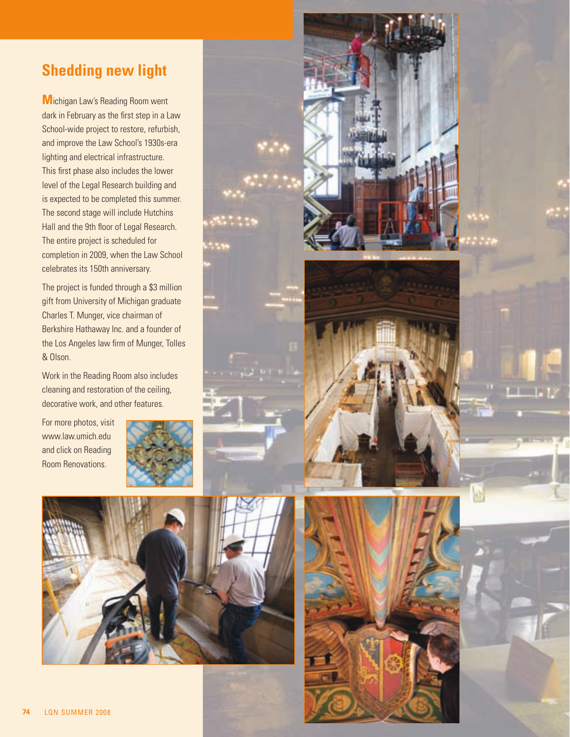# **Shedding new light**

**M**ichigan Law's Reading Room went dark in February as the first step in a Law School-wide project to restore, refurbish, and improve the Law School's 1930s-era lighting and electrical infrastructure. This first phase also includes the lower level of the Legal Research building and is expected to be completed this summer. The second stage will include Hutchins Hall and the 9th floor of Legal Research. The entire project is scheduled for completion in 2009, when the Law School celebrates its 150th anniversary.

The project is funded through a \$3 million gift from University of Michigan graduate Charles T. Munger, vice chairman of Berkshire Hathaway Inc. and a founder of the Los Angeles law firm of Munger, Tolles & Olson.

Work in the Reading Room also includes cleaning and restoration of the ceiling, decorative work, and other features.

For more photos, visit www.law.umich.edu and click on Reading Room Renovations.



k.





**LOS SHORE P**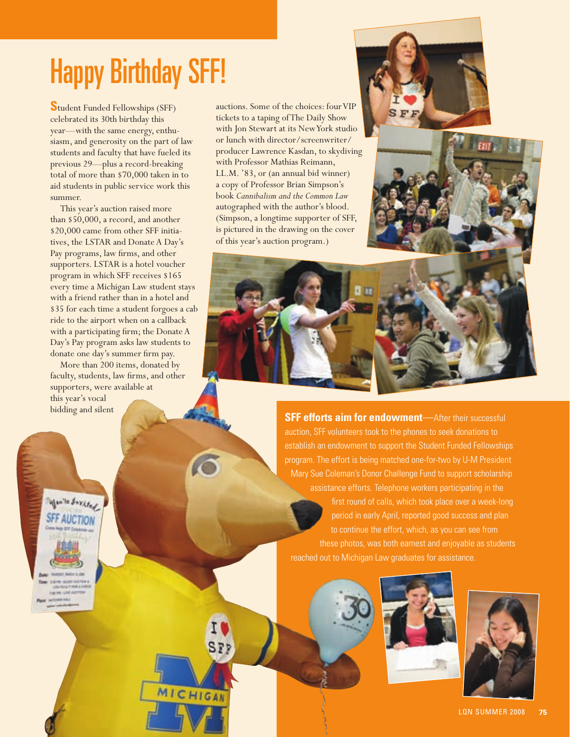# Happy Birthday SFF!

**S**tudent Funded Fellowships (SFF) celebrated its 30th birthday this year—with the same energy, enthusiasm, and generosity on the part of law students and faculty that have fueled its previous 29—plus a record-breaking total of more than \$70,000 taken in to aid students in public service work this summer.

This year's auction raised more than \$50,000, a record, and another \$20,000 came from other SFF initiatives, the LSTAR and Donate A Day's Pay programs, law firms, and other supporters. LSTAR is a hotel voucher program in which SFF receives \$165 every time a Michigan Law student stays with a friend rather than in a hotel and \$35 for each time a student forgoes a cab ride to the airport when on a callback with a participating firm; the Donate A Day's Pay program asks law students to donate one day's summer firm pay.

More than 200 items, donated by faculty, students, law firms, and other supporters, were available at this year's vocal bidding and silent

MICHIGAN

you're directed

auctions. Some of the choices: four VIP tickets to a taping of The Daily Show with Jon Stewart at its New York studio or lunch with director/screenwriter/ producer Lawrence Kasdan, to skydiving with Professor Mathias Reimann, LL.M. '83, or (an annual bid winner) a copy of Professor Brian Simpson's book *Cannibalism and the Common Law* autographed with the author's blood. (Simpson, a longtime supporter of SFF, is pictured in the drawing on the cover of this year's auction program.)







**SFF efforts aim for endowment**—After their successful auction, SFF volunteers took to the phones to seek donations to establish an endowment to support the Student Funded Fellowships program. The effort is being matched one-for-two by U-M President Mary Sue Coleman's Donor Challenge Fund to support scholarship assistance efforts. Telephone workers participating in the period in early April, reported good success and plan to continue the effort, which, as you can see from these photos, was both earnest and enjoyable as students reached out to Michigan Law graduates for assistance.



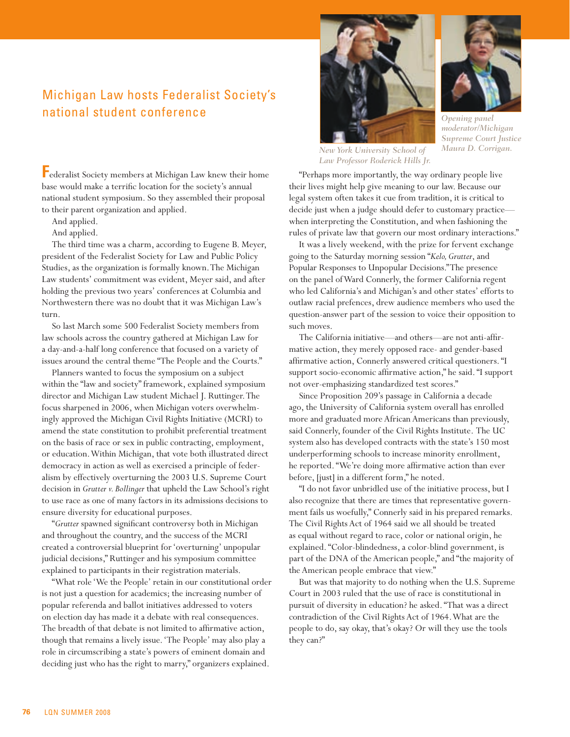# Michigan Law hosts Federalist Society's national student conference

**F**ederalist Society members at Michigan Law knew their home base would make a terrific location for the society's annual national student symposium. So they assembled their proposal to their parent organization and applied.

And applied.

And applied.

The third time was a charm, according to Eugene B. Meyer, president of the Federalist Society for Law and Public Policy Studies, as the organization is formally known. The Michigan Law students' commitment was evident, Meyer said, and after holding the previous two years' conferences at Columbia and Northwestern there was no doubt that it was Michigan Law's turn.

So last March some 500 Federalist Society members from law schools across the country gathered at Michigan Law for a day-and-a-half long conference that focused on a variety of issues around the central theme "The People and the Courts."

Planners wanted to focus the symposium on a subject within the "law and society" framework, explained symposium director and Michigan Law student Michael J. Ruttinger. The focus sharpened in 2006, when Michigan voters overwhelmingly approved the Michigan Civil Rights Initiative (MCRI) to amend the state constitution to prohibit preferential treatment on the basis of race or sex in public contracting, employment, or education. Within Michigan, that vote both illustrated direct democracy in action as well as exercised a principle of federalism by effectively overturning the 2003 U.S. Supreme Court decision in *Grutter v. Bollinger* that upheld the Law School's right to use race as one of many factors in its admissions decisions to ensure diversity for educational purposes.

"*Grutter* spawned significant controversy both in Michigan and throughout the country, and the success of the MCRI created a controversial blueprint for 'overturning' unpopular judicial decisions," Ruttinger and his symposium committee explained to participants in their registration materials.

"What role 'We the People' retain in our constitutional order is not just a question for academics; the increasing number of popular referenda and ballot initiatives addressed to voters on election day has made it a debate with real consequences. The breadth of that debate is not limited to affirmative action, though that remains a lively issue. 'The People' may also play a role in circumscribing a state's powers of eminent domain and deciding just who has the right to marry," organizers explained.





*Opening panel moderator/Michigan Supreme Court Justice Maura D. Corrigan.*

*New York University School of Law Professor Roderick Hills Jr.*

"Perhaps more importantly, the way ordinary people live their lives might help give meaning to our law. Because our legal system often takes it cue from tradition, it is critical to decide just when a judge should defer to customary practice when interpreting the Constitution, and when fashioning the rules of private law that govern our most ordinary interactions."

It was a lively weekend, with the prize for fervent exchange going to the Saturday morning session "*Kelo, Grutter*, and Popular Responses to Unpopular Decisions." The presence on the panel of Ward Connerly, the former California regent who led California's and Michigan's and other states' efforts to outlaw racial prefences, drew audience members who used the question-answer part of the session to voice their opposition to such moves.

The California initiative—and others—are not anti-affirmative action, they merely opposed race- and gender-based affirmative action, Connerly answered critical questioners. "I support socio-economic affirmative action," he said. "I support not over-emphasizing standardized test scores."

Since Proposition 209's passage in California a decade ago, the University of California system overall has enrolled more and graduated more African Americans than previously, said Connerly, founder of the Civil Rights Institute. The UC system also has developed contracts with the state's 150 most underperforming schools to increase minority enrollment, he reported. "We're doing more affirmative action than ever before, [just] in a different form," he noted.

"I do not favor unbridled use of the initiative process, but I also recognize that there are times that representative government fails us woefully," Connerly said in his prepared remarks. The Civil Rights Act of 1964 said we all should be treated as equal without regard to race, color or national origin, he explained. "Color-blindedness, a color-blind government, is part of the DNA of the American people," and "the majority of the American people embrace that view."

But was that majority to do nothing when the U.S. Supreme Court in 2003 ruled that the use of race is constitutional in pursuit of diversity in education? he asked. "That was a direct contradiction of the Civil Rights Act of 1964. What are the people to do, say okay, that's okay? Or will they use the tools they can?"